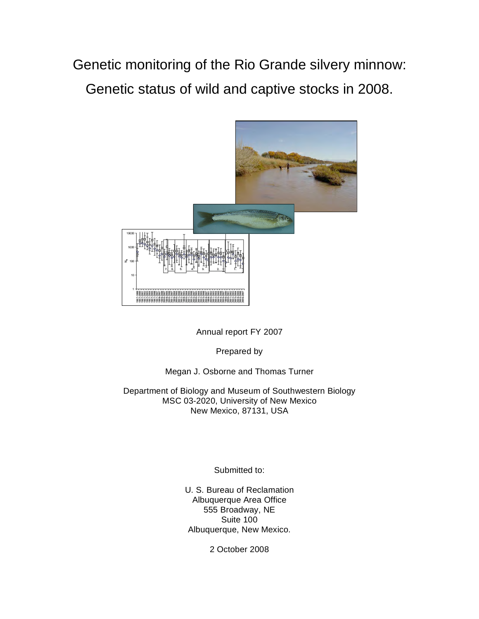Genetic monitoring of the Rio Grande silvery minnow: Genetic status of wild and captive stocks in 2008.



Annual report FY 2007

Prepared by

# Megan J. Osborne and Thomas Turner

Department of Biology and Museum of Southwestern Biology MSC 03-2020, University of New Mexico New Mexico, 87131, USA

Submitted to:

U. S. Bureau of Reclamation Albuquerque Area Office 555 Broadway, NE Suite 100 Albuquerque, New Mexico.

2 October 2008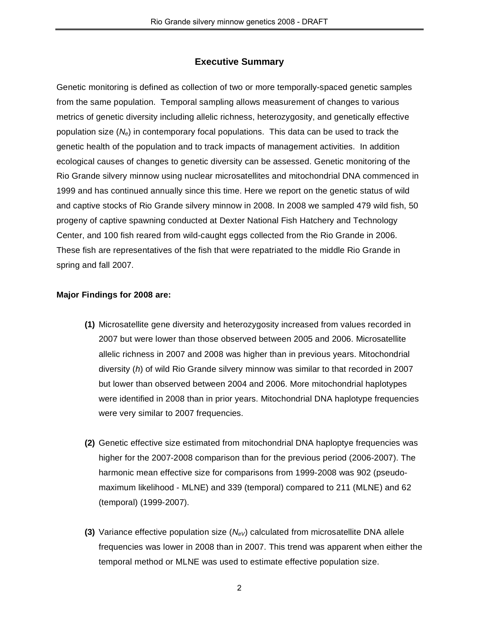# **Executive Summary**

Genetic monitoring is defined as collection of two or more temporally-spaced genetic samples from the same population. Temporal sampling allows measurement of changes to various metrics of genetic diversity including allelic richness, heterozygosity, and genetically effective population size (*Ne*) in contemporary focal populations. This data can be used to track the genetic health of the population and to track impacts of management activities. In addition ecological causes of changes to genetic diversity can be assessed. Genetic monitoring of the Rio Grande silvery minnow using nuclear microsatellites and mitochondrial DNA commenced in 1999 and has continued annually since this time. Here we report on the genetic status of wild and captive stocks of Rio Grande silvery minnow in 2008. In 2008 we sampled 479 wild fish, 50 progeny of captive spawning conducted at Dexter National Fish Hatchery and Technology Center, and 100 fish reared from wild-caught eggs collected from the Rio Grande in 2006. These fish are representatives of the fish that were repatriated to the middle Rio Grande in spring and fall 2007.

## **Major Findings for 2008 are:**

- **(1)** Microsatellite gene diversity and heterozygosity increased from values recorded in 2007 but were lower than those observed between 2005 and 2006. Microsatellite allelic richness in 2007 and 2008 was higher than in previous years. Mitochondrial diversity (*h*) of wild Rio Grande silvery minnow was similar to that recorded in 2007 but lower than observed between 2004 and 2006. More mitochondrial haplotypes were identified in 2008 than in prior years. Mitochondrial DNA haplotype frequencies were very similar to 2007 frequencies.
- **(2)** Genetic effective size estimated from mitochondrial DNA haploptye frequencies was higher for the 2007-2008 comparison than for the previous period (2006-2007). The harmonic mean effective size for comparisons from 1999-2008 was 902 (pseudomaximum likelihood - MLNE) and 339 (temporal) compared to 211 (MLNE) and 62 (temporal) (1999-2007).
- **(3)** Variance effective population size  $(N_{eV})$  calculated from microsatellite DNA allele frequencies was lower in 2008 than in 2007. This trend was apparent when either the temporal method or MLNE was used to estimate effective population size.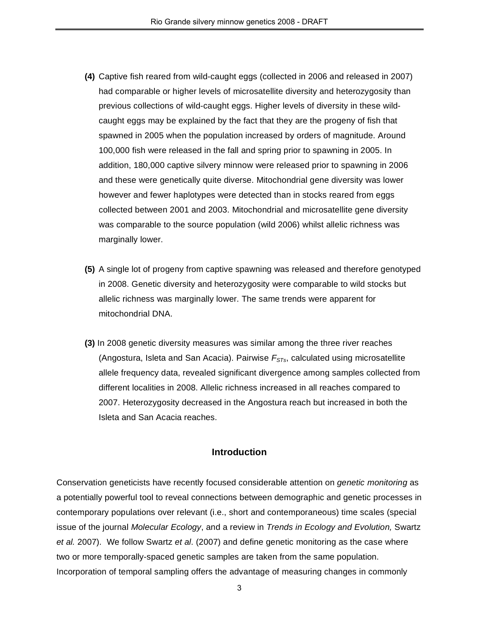- **(4)** Captive fish reared from wild-caught eggs (collected in 2006 and released in 2007) had comparable or higher levels of microsatellite diversity and heterozygosity than previous collections of wild-caught eggs. Higher levels of diversity in these wildcaught eggs may be explained by the fact that they are the progeny of fish that spawned in 2005 when the population increased by orders of magnitude. Around 100,000 fish were released in the fall and spring prior to spawning in 2005. In addition, 180,000 captive silvery minnow were released prior to spawning in 2006 and these were genetically quite diverse. Mitochondrial gene diversity was lower however and fewer haplotypes were detected than in stocks reared from eggs collected between 2001 and 2003. Mitochondrial and microsatellite gene diversity was comparable to the source population (wild 2006) whilst allelic richness was marginally lower.
- **(5)** A single lot of progeny from captive spawning was released and therefore genotyped in 2008. Genetic diversity and heterozygosity were comparable to wild stocks but allelic richness was marginally lower. The same trends were apparent for mitochondrial DNA.
- **(3)** In 2008 genetic diversity measures was similar among the three river reaches (Angostura, Isleta and San Acacia). Pairwise  $F<sub>STs</sub>$ , calculated using microsatellite allele frequency data, revealed significant divergence among samples collected from different localities in 2008. Allelic richness increased in all reaches compared to 2007. Heterozygosity decreased in the Angostura reach but increased in both the Isleta and San Acacia reaches.

## **Introduction**

Conservation geneticists have recently focused considerable attention on *genetic monitoring* as a potentially powerful tool to reveal connections between demographic and genetic processes in contemporary populations over relevant (i.e., short and contemporaneous) time scales (special issue of the journal *Molecular Ecology*, and a review in *Trends in Ecology and Evolution,* Swartz *et al.* 2007). We follow Swartz *et al*. (2007) and define genetic monitoring as the case where two or more temporally-spaced genetic samples are taken from the same population. Incorporation of temporal sampling offers the advantage of measuring changes in commonly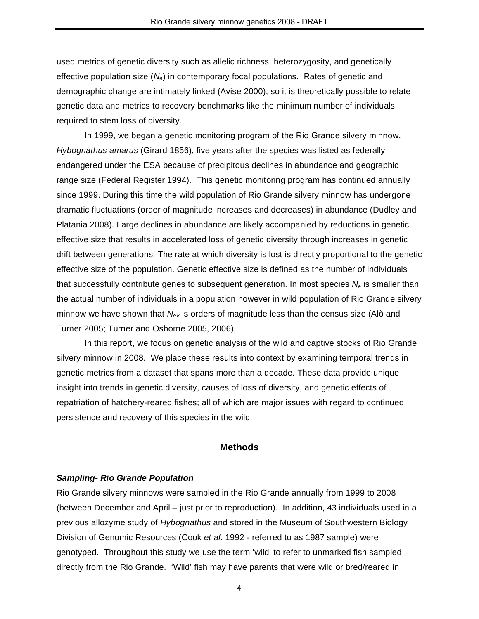used metrics of genetic diversity such as allelic richness, heterozygosity, and genetically effective population size (*Ne*) in contemporary focal populations. Rates of genetic and demographic change are intimately linked (Avise 2000), so it is theoretically possible to relate genetic data and metrics to recovery benchmarks like the minimum number of individuals required to stem loss of diversity.

In 1999, we began a genetic monitoring program of the Rio Grande silvery minnow, *Hybognathus amarus* (Girard 1856), five years after the species was listed as federally endangered under the ESA because of precipitous declines in abundance and geographic range size (Federal Register 1994). This genetic monitoring program has continued annually since 1999. During this time the wild population of Rio Grande silvery minnow has undergone dramatic fluctuations (order of magnitude increases and decreases) in abundance (Dudley and Platania 2008). Large declines in abundance are likely accompanied by reductions in genetic effective size that results in accelerated loss of genetic diversity through increases in genetic drift between generations. The rate at which diversity is lost is directly proportional to the genetic effective size of the population. Genetic effective size is defined as the number of individuals that successfully contribute genes to subsequent generation. In most species  $N_e$  is smaller than the actual number of individuals in a population however in wild population of Rio Grande silvery minnow we have shown that  $N_{eV}$  is orders of magnitude less than the census size (Alò and Turner 2005; Turner and Osborne 2005, 2006).

In this report, we focus on genetic analysis of the wild and captive stocks of Rio Grande silvery minnow in 2008. We place these results into context by examining temporal trends in genetic metrics from a dataset that spans more than a decade. These data provide unique insight into trends in genetic diversity, causes of loss of diversity, and genetic effects of repatriation of hatchery-reared fishes; all of which are major issues with regard to continued persistence and recovery of this species in the wild.

## **Methods**

## *Sampling- Rio Grande Population*

Rio Grande silvery minnows were sampled in the Rio Grande annually from 1999 to 2008 (between December and April – just prior to reproduction). In addition, 43 individuals used in a previous allozyme study of *Hybognathus* and stored in the Museum of Southwestern Biology Division of Genomic Resources (Cook *et al*. 1992 - referred to as 1987 sample) were genotyped. Throughout this study we use the term 'wild' to refer to unmarked fish sampled directly from the Rio Grande. 'Wild' fish may have parents that were wild or bred/reared in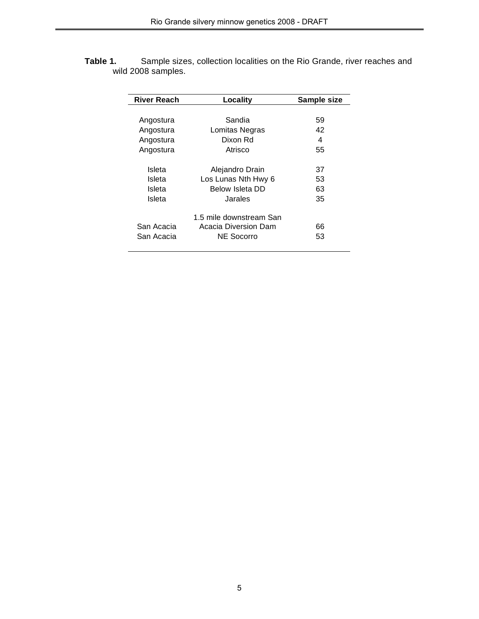**Table 1.** Sample sizes, collection localities on the Rio Grande, river reaches and wild 2008 samples.

| <b>River Reach</b> | Locality                | Sample size |
|--------------------|-------------------------|-------------|
|                    |                         |             |
| Angostura          | Sandia                  | 59          |
| Angostura          | Lomitas Negras          | 42          |
| Angostura          | Dixon Rd                | 4           |
| Angostura          | Atrisco                 | 55          |
| Isleta             | Alejandro Drain         | 37          |
| Isleta             | Los Lunas Nth Hwy 6     | 53          |
| Isleta             | Below Isleta DD         | 63          |
| Isleta             | Jarales                 | 35          |
|                    | 1.5 mile downstream San |             |
| San Acacia         | Acacia Diversion Dam    | 66          |
| San Acacia         | NE Socorro              | 53          |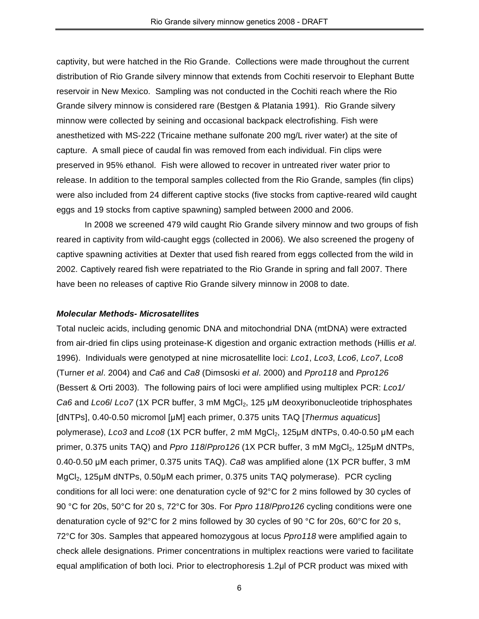captivity, but were hatched in the Rio Grande. Collections were made throughout the current distribution of Rio Grande silvery minnow that extends from Cochiti reservoir to Elephant Butte reservoir in New Mexico. Sampling was not conducted in the Cochiti reach where the Rio Grande silvery minnow is considered rare (Bestgen & Platania 1991). Rio Grande silvery minnow were collected by seining and occasional backpack electrofishing. Fish were anesthetized with MS-222 (Tricaine methane sulfonate 200 mg/L river water) at the site of capture. A small piece of caudal fin was removed from each individual. Fin clips were preserved in 95% ethanol. Fish were allowed to recover in untreated river water prior to release. In addition to the temporal samples collected from the Rio Grande, samples (fin clips) were also included from 24 different captive stocks (five stocks from captive-reared wild caught eggs and 19 stocks from captive spawning) sampled between 2000 and 2006.

In 2008 we screened 479 wild caught Rio Grande silvery minnow and two groups of fish reared in captivity from wild-caught eggs (collected in 2006). We also screened the progeny of captive spawning activities at Dexter that used fish reared from eggs collected from the wild in 2002. Captively reared fish were repatriated to the Rio Grande in spring and fall 2007. There have been no releases of captive Rio Grande silvery minnow in 2008 to date.

## *Molecular Methods- Microsatellites*

Total nucleic acids, including genomic DNA and mitochondrial DNA (mtDNA) were extracted from air-dried fin clips using proteinase-K digestion and organic extraction methods (Hillis *et al*. 1996). Individuals were genotyped at nine microsatellite loci: *Lco1*, *Lco3*, *Lco6*, *Lco7*, *Lco8* (Turner *et al*. 2004) and *Ca6* and *Ca8* (Dimsoski *et al*. 2000) and *Ppro118* and *Ppro126* (Bessert & Orti 2003). The following pairs of loci were amplified using multiplex PCR: *Lco1/ Ca6* and *Lco6*/ *Lco7* (1X PCR buffer, 3 mM MgCl2, 125 µM deoxyribonucleotide triphosphates [dNTPs], 0.40-0.50 micromol [µM] each primer, 0.375 units TAQ [*Thermus aquaticus*] polymerase), *Lco3* and *Lco8* (1X PCR buffer, 2 mM MgCl<sub>2</sub>, 125µM dNTPs, 0.40-0.50 µM each primer, 0.375 units TAQ) and *Ppro 118*/*Ppro126* (1X PCR buffer, 3 mM MgCl<sub>2</sub>, 125µM dNTPs, 0.40-0.50 µM each primer, 0.375 units TAQ). *Ca8* was amplified alone (1X PCR buffer, 3 mM MgCl<sub>2</sub>, 125µM dNTPs, 0.50µM each primer, 0.375 units TAQ polymerase). PCR cycling conditions for all loci were: one denaturation cycle of 92°C for 2 mins followed by 30 cycles of 90 °C for 20s, 50°C for 20 s, 72°C for 30s. For *Ppro 118*/*Ppro126* cycling conditions were one denaturation cycle of 92°C for 2 mins followed by 30 cycles of 90 °C for 20s, 60°C for 20 s, 72°C for 30s. Samples that appeared homozygous at locus *Ppro118* were amplified again to check allele designations. Primer concentrations in multiplex reactions were varied to facilitate equal amplification of both loci. Prior to electrophoresis 1.2µl of PCR product was mixed with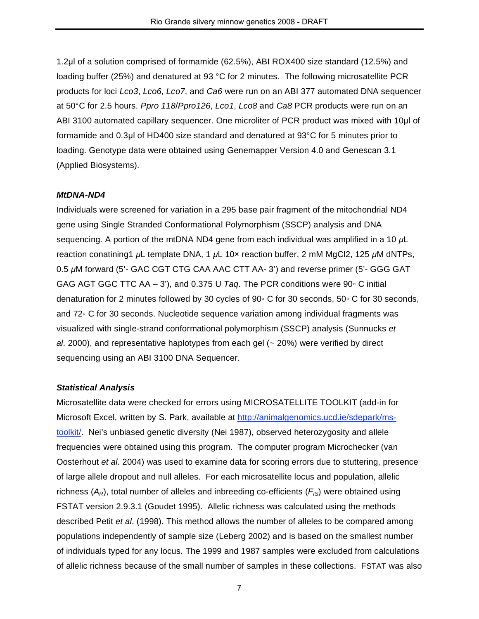1.2µl of a solution comprised of formamide (62.5%), ABI ROX400 size standard (12.5%) and loading buffer (25%) and denatured at 93 °C for 2 minutes. The following microsatellite PCR products for loci *Lco3*, *Lco6*, *Lco7*, and *Ca6* were run on an ABI 377 automated DNA sequencer at 50°C for 2.5 hours. *Ppro 118*/*Ppro126*, *Lco1*, *Lco8* and *Ca8* PCR products were run on an ABI 3100 automated capillary sequencer. One microliter of PCR product was mixed with 10µl of formamide and 0.3µl of HD400 size standard and denatured at 93°C for 5 minutes prior to loading. Genotype data were obtained using Genemapper Version 4.0 and Genescan 3.1 (Applied Biosystems).

## *MtDNA-ND4*

Individuals were screened for variation in a 295 base pair fragment of the mitochondrial ND4 gene using Single Stranded Conformational Polymorphism (SSCP) analysis and DNA sequencing. A portion of the mtDNA ND4 gene from each individual was amplified in a 10 *µ*L reaction conatining1 *µ*L template DNA, 1 *µ*L 10× reaction buffer, 2 mM MgCl2, 125 *µ*M dNTPs, 0.5 *µ*M forward (5'- GAC CGT CTG CAA AAC CTT AA- 3') and reverse primer (5'- GGG GAT GAG AGT GGC TTC AA – 3'), and 0.375 U *Taq*. The PCR conditions were 90◦ C initial denaturation for 2 minutes followed by 30 cycles of 90◦ C for 30 seconds, 50◦ C for 30 seconds, and 72◦ C for 30 seconds. Nucleotide sequence variation among individual fragments was visualized with single-strand conformational polymorphism (SSCP) analysis (Sunnucks *et al*. 2000), and representative haplotypes from each gel (~ 20%) were verified by direct sequencing using an ABI 3100 DNA Sequencer.

## *Statistical Analysis*

Microsatellite data were checked for errors using MICROSATELLITE TOOLKIT (add-in for Microsoft Excel, written by S. Park, available at http://animalgenomics.ucd.ie/sdepark/mstoolkit/. Nei's unbiased genetic diversity (Nei 1987), observed heterozygosity and allele frequencies were obtained using this program. The computer program Microchecker (van Oosterhout *et al*. 2004) was used to examine data for scoring errors due to stuttering, presence of large allele dropout and null alleles. For each microsatellite locus and population, allelic richness (*AR*), total number of alleles and inbreeding co-efficients (*FIS*) were obtained using FSTAT version 2.9.3.1 (Goudet 1995). Allelic richness was calculated using the methods described Petit *et al*. (1998). This method allows the number of alleles to be compared among populations independently of sample size (Leberg 2002) and is based on the smallest number of individuals typed for any locus. The 1999 and 1987 samples were excluded from calculations of allelic richness because of the small number of samples in these collections. FSTAT was also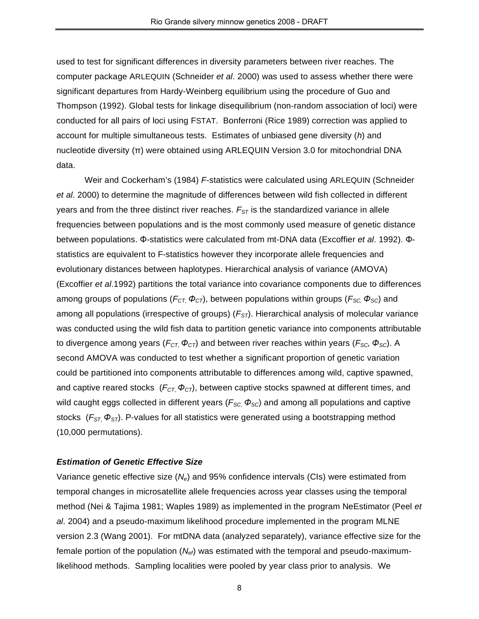used to test for significant differences in diversity parameters between river reaches. The computer package ARLEQUIN (Schneider *et al*. 2000) was used to assess whether there were significant departures from Hardy-Weinberg equilibrium using the procedure of Guo and Thompson (1992). Global tests for linkage disequilibrium (non-random association of loci) were conducted for all pairs of loci using FSTAT. Bonferroni (Rice 1989) correction was applied to account for multiple simultaneous tests. Estimates of unbiased gene diversity (*h*) and nucleotide diversity (π) were obtained using ARLEQUIN Version 3.0 for mitochondrial DNA data.

Weir and Cockerham's (1984) *F*-statistics were calculated using ARLEQUIN (Schneider *et al*. 2000) to determine the magnitude of differences between wild fish collected in different years and from the three distinct river reaches.  $F_{ST}$  is the standardized variance in allele frequencies between populations and is the most commonly used measure of genetic distance between populations. Φ-statistics were calculated from mt-DNA data (Excoffier *et al*. 1992). Φstatistics are equivalent to F-statistics however they incorporate allele frequencies and evolutionary distances between haplotypes. Hierarchical analysis of variance (AMOVA) (Excoffier *et al*.1992) partitions the total variance into covariance components due to differences among groups of populations (*FCT, ΦCT*), between populations within groups (*FSC, ΦSC*) and among all populations (irrespective of groups) ( $F<sub>ST</sub>$ ). Hierarchical analysis of molecular variance was conducted using the wild fish data to partition genetic variance into components attributable to divergence among years ( $F_{CT}$ ,  $\Phi_{CT}$ ) and between river reaches within years ( $F_{SC}$ ,  $\Phi_{SC}$ ). A second AMOVA was conducted to test whether a significant proportion of genetic variation could be partitioned into components attributable to differences among wild, captive spawned, and captive reared stocks  $(F_{CT} \Phi_{CT})$ , between captive stocks spawned at different times, and wild caught eggs collected in different years ( $F_{SC}$ , Φ<sub>*SC*</sub>) and among all populations and captive stocks (F<sub>ST,</sub> Φ<sub>ST</sub>). P-values for all statistics were generated using a bootstrapping method (10,000 permutations).

## *Estimation of Genetic Effective Size*

Variance genetic effective size (*Ne*) and 95% confidence intervals (CIs) were estimated from temporal changes in microsatellite allele frequencies across year classes using the temporal method (Nei & Tajima 1981; Waples 1989) as implemented in the program NeEstimator (Peel *et al*. 2004) and a pseudo-maximum likelihood procedure implemented in the program MLNE version 2.3 (Wang 2001). For mtDNA data (analyzed separately), variance effective size for the female portion of the population (*Nef*) was estimated with the temporal and pseudo-maximumlikelihood methods. Sampling localities were pooled by year class prior to analysis. We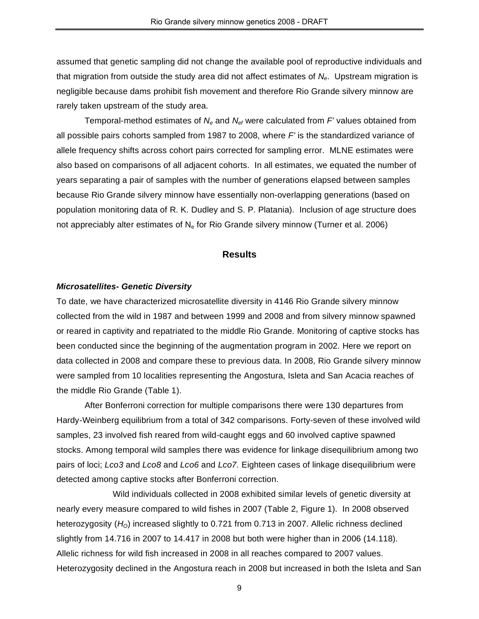assumed that genetic sampling did not change the available pool of reproductive individuals and that migration from outside the study area did not affect estimates of *Ne*. Upstream migration is negligible because dams prohibit fish movement and therefore Rio Grande silvery minnow are rarely taken upstream of the study area.

Temporal-method estimates of  $N_e$  and  $N_{\text{ef}}$  were calculated from *F'* values obtained from all possible pairs cohorts sampled from 1987 to 2008, where *F'* is the standardized variance of allele frequency shifts across cohort pairs corrected for sampling error. MLNE estimates were also based on comparisons of all adjacent cohorts. In all estimates, we equated the number of years separating a pair of samples with the number of generations elapsed between samples because Rio Grande silvery minnow have essentially non-overlapping generations (based on population monitoring data of R. K. Dudley and S. P. Platania). Inclusion of age structure does not appreciably alter estimates of  $N_e$  for Rio Grande silvery minnow (Turner et al. 2006)

## **Results**

## *Microsatellites- Genetic Diversity*

To date, we have characterized microsatellite diversity in 4146 Rio Grande silvery minnow collected from the wild in 1987 and between 1999 and 2008 and from silvery minnow spawned or reared in captivity and repatriated to the middle Rio Grande. Monitoring of captive stocks has been conducted since the beginning of the augmentation program in 2002. Here we report on data collected in 2008 and compare these to previous data. In 2008, Rio Grande silvery minnow were sampled from 10 localities representing the Angostura, Isleta and San Acacia reaches of the middle Rio Grande (Table 1).

After Bonferroni correction for multiple comparisons there were 130 departures from Hardy-Weinberg equilibrium from a total of 342 comparisons. Forty-seven of these involved wild samples, 23 involved fish reared from wild-caught eggs and 60 involved captive spawned stocks. Among temporal wild samples there was evidence for linkage disequilibrium among two pairs of loci; *Lco3* and *Lco8* and *Lco6* and *Lco7*. Eighteen cases of linkage disequilibrium were detected among captive stocks after Bonferroni correction.

Wild individuals collected in 2008 exhibited similar levels of genetic diversity at nearly every measure compared to wild fishes in 2007 (Table 2, Figure 1). In 2008 observed heterozygosity (*HO*) increased slightly to 0.721 from 0.713 in 2007. Allelic richness declined slightly from 14.716 in 2007 to 14.417 in 2008 but both were higher than in 2006 (14.118). Allelic richness for wild fish increased in 2008 in all reaches compared to 2007 values. Heterozygosity declined in the Angostura reach in 2008 but increased in both the Isleta and San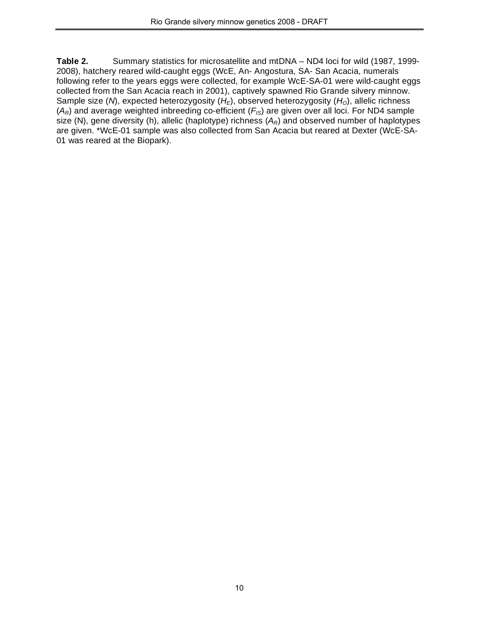**Table 2.** Summary statistics for microsatellite and mtDNA – ND4 loci for wild (1987, 1999- 2008), hatchery reared wild-caught eggs (WcE, An- Angostura, SA- San Acacia, numerals following refer to the years eggs were collected, for example WcE-SA-01 were wild-caught eggs collected from the San Acacia reach in 2001), captively spawned Rio Grande silvery minnow. Sample size (*N*), expected heterozygosity (*H<sub>E</sub>*), observed heterozygosity (*H<sub>O</sub>*), allelic richness  $(A_R)$  and average weighted inbreeding co-efficient  $(F_{IS})$  are given over all loci. For ND4 sample size (N), gene diversity (h), allelic (haplotype) richness ( $A_R$ ) and observed number of haplotypes are given. \*WcE-01 sample was also collected from San Acacia but reared at Dexter (WcE-SA-01 was reared at the Biopark).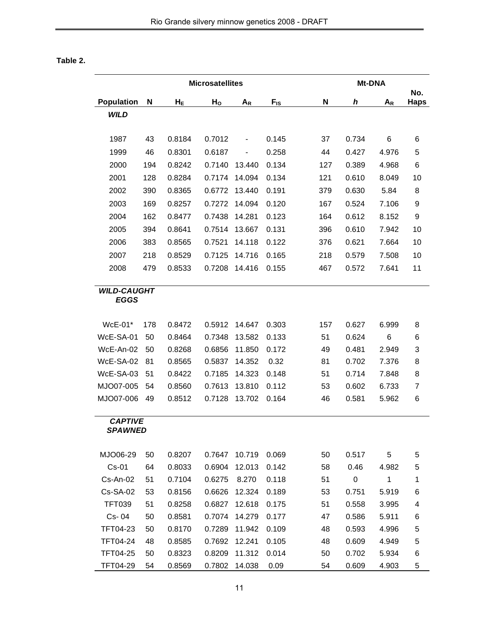# **Table 2.**

|                                   |     |        | <b>Microsatellites</b> |               |                 |             | Mt-DNA    |              |                    |
|-----------------------------------|-----|--------|------------------------|---------------|-----------------|-------------|-----------|--------------|--------------------|
| Population                        | N   | $H_E$  | H <sub>o</sub>         | $A_R$         | $F_{\text{IS}}$ | $\mathbf N$ | h         | $A_R$        | No.<br><b>Haps</b> |
| <b>WILD</b>                       |     |        |                        |               |                 |             |           |              |                    |
|                                   |     |        |                        |               |                 |             |           |              |                    |
| 1987                              | 43  | 0.8184 | 0.7012                 | -             | 0.145           | 37          | 0.734     | 6            | 6                  |
| 1999                              | 46  | 0.8301 | 0.6187                 | -             | 0.258           | 44          | 0.427     | 4.976        | 5                  |
| 2000                              | 194 | 0.8242 | 0.7140                 | 13.440        | 0.134           | 127         | 0.389     | 4.968        | 6                  |
| 2001                              | 128 | 0.8284 | 0.7174                 | 14.094        | 0.134           | 121         | 0.610     | 8.049        | 10                 |
| 2002                              | 390 | 0.8365 | 0.6772                 | 13.440        | 0.191           | 379         | 0.630     | 5.84         | 8                  |
| 2003                              | 169 | 0.8257 | 0.7272                 | 14.094        | 0.120           | 167         | 0.524     | 7.106        | 9                  |
| 2004                              | 162 | 0.8477 | 0.7438                 | 14.281        | 0.123           | 164         | 0.612     | 8.152        | 9                  |
| 2005                              | 394 | 0.8641 | 0.7514                 | 13.667        | 0.131           | 396         | 0.610     | 7.942        | 10                 |
| 2006                              | 383 | 0.8565 | 0.7521                 | 14.118        | 0.122           | 376         | 0.621     | 7.664        | 10                 |
| 2007                              | 218 | 0.8529 | 0.7125                 | 14.716        | 0.165           | 218         | 0.579     | 7.508        | 10                 |
| 2008                              | 479 | 0.8533 | 0.7208                 | 14.416        | 0.155           | 467         | 0.572     | 7.641        | 11                 |
|                                   |     |        |                        |               |                 |             |           |              |                    |
| <b>WILD-CAUGHT</b><br><b>EGGS</b> |     |        |                        |               |                 |             |           |              |                    |
|                                   |     |        |                        |               |                 |             |           |              |                    |
| $WcE-01*$                         | 178 | 0.8472 | 0.5912                 | 14.647        | 0.303           | 157         | 0.627     | 6.999        | 8                  |
| WcE-SA-01                         | 50  | 0.8464 | 0.7348                 | 13.582        | 0.133           | 51          | 0.624     | 6            | 6                  |
| WcE-An-02                         | 50  | 0.8268 | 0.6856                 | 11.850        | 0.172           | 49          | 0.481     | 2.949        | 3                  |
| WcE-SA-02                         | 81  | 0.8565 | 0.5837                 | 14.352        | 0.32            | 81          | 0.702     | 7.376        | 8                  |
| WcE-SA-03                         | 51  | 0.8422 | 0.7185                 | 14.323        | 0.148           | 51          | 0.714     | 7.848        | 8                  |
| MJO07-005                         | 54  | 0.8560 | 0.7613                 | 13.810        | 0.112           | 53          | 0.602     | 6.733        | 7                  |
| MJO07-006                         | 49  | 0.8512 | 0.7128                 | 13.702        | 0.164           | 46          | 0.581     | 5.962        | 6                  |
|                                   |     |        |                        |               |                 |             |           |              |                    |
| <b>CAPTIVE</b><br><b>SPAWNED</b>  |     |        |                        |               |                 |             |           |              |                    |
|                                   |     |        |                        |               |                 |             |           |              |                    |
| MJO06-29                          | 50  | 0.8207 | 0.7647                 | 10.719        | 0.069           | 50          | 0.517     | 5            | 5                  |
| $Cs-01$                           | 64  | 0.8033 | 0.6904                 | 12.013        | 0.142           | 58          | 0.46      | 4.982        | 5                  |
| Cs-An-02                          | 51  | 0.7104 | 0.6275                 | 8.270         | 0.118           | 51          | $\pmb{0}$ | $\mathbf{1}$ | 1                  |
| <b>Cs-SA-02</b>                   | 53  | 0.8156 | 0.6626                 | 12.324        | 0.189           | 53          | 0.751     | 5.919        | 6                  |
| <b>TFT039</b>                     | 51  | 0.8258 | 0.6827                 | 12.618        | 0.175           | 51          | 0.558     | 3.995        | 4                  |
| Cs-04                             | 50  | 0.8581 | 0.7074                 | 14.279        | 0.177           | 47          | 0.586     | 5.911        | 6                  |
| TFT04-23                          | 50  | 0.8170 | 0.7289                 | 11.942        | 0.109           | 48          | 0.593     | 4.996        | 5                  |
| TFT04-24                          | 48  | 0.8585 | 0.7692                 | 12.241        | 0.105           | 48          | 0.609     | 4.949        | 5                  |
| TFT04-25                          | 50  | 0.8323 | 0.8209                 | 11.312        | 0.014           | 50          | 0.702     | 5.934        | 6                  |
| TFT04-29                          | 54  | 0.8569 |                        | 0.7802 14.038 | 0.09            | 54          | 0.609     | 4.903        | 5                  |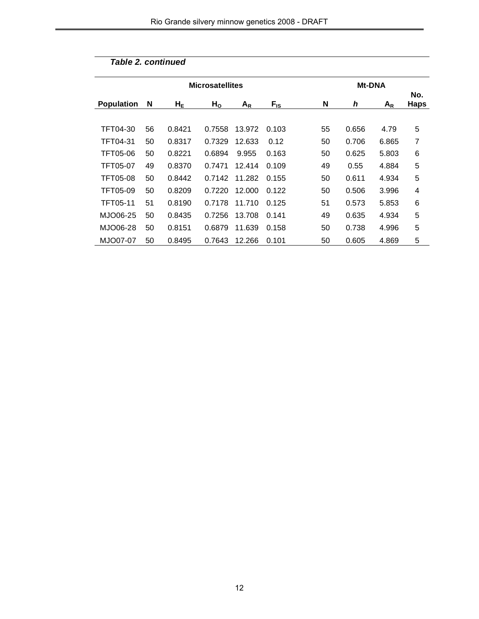|                   |    | <b>Microsatellites</b> |                | <b>Mt-DNA</b> |          |    |       |       |                    |  |
|-------------------|----|------------------------|----------------|---------------|----------|----|-------|-------|--------------------|--|
| <b>Population</b> | N  | $H_{E}$                | H <sub>o</sub> | $A_R$         | $F_{IS}$ | N  | h     | $A_R$ | No.<br><b>Haps</b> |  |
|                   |    |                        |                |               |          |    |       |       |                    |  |
| TFT04-30          | 56 | 0.8421                 | 0.7558         | 13.972        | 0.103    | 55 | 0.656 | 4.79  | 5                  |  |
| TFT04-31          | 50 | 0.8317                 | 0.7329         | 12.633        | 0.12     | 50 | 0.706 | 6.865 | 7                  |  |
| TFT05-06          | 50 | 0.8221                 | 0.6894         | 9.955         | 0.163    | 50 | 0.625 | 5.803 | 6                  |  |
| TFT05-07          | 49 | 0.8370                 | 0.7471         | 12.414        | 0.109    | 49 | 0.55  | 4.884 | 5                  |  |
| <b>TFT05-08</b>   | 50 | 0.8442                 | 0.7142         | 11.282        | 0.155    | 50 | 0.611 | 4.934 | 5                  |  |
| TFT05-09          | 50 | 0.8209                 | 0.7220         | 12.000        | 0.122    | 50 | 0.506 | 3.996 | 4                  |  |
| TFT05-11          | 51 | 0.8190                 | 0.7178         | 11.710        | 0.125    | 51 | 0.573 | 5.853 | 6                  |  |
| MJO06-25          | 50 | 0.8435                 | 0.7256         | 13.708        | 0.141    | 49 | 0.635 | 4.934 | 5                  |  |
| MJO06-28          | 50 | 0.8151                 | 0.6879         | 11.639        | 0.158    | 50 | 0.738 | 4.996 | 5                  |  |
| MJO07-07          | 50 | 0.8495                 | 0.7643         | 12.266        | 0.101    | 50 | 0.605 | 4.869 | 5                  |  |

# *Table 2. continued*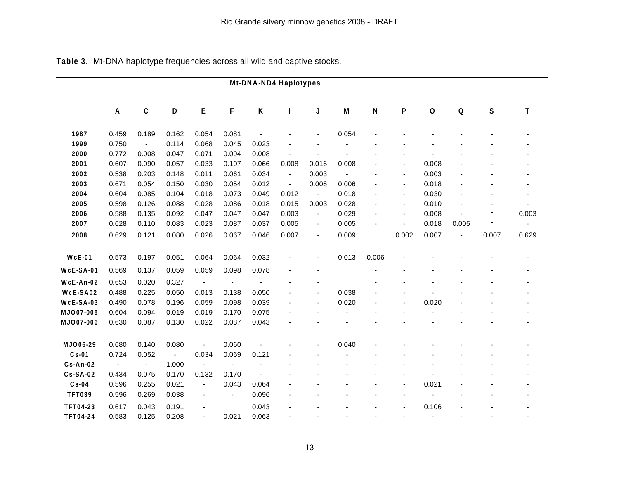|                  |                |                          |                |                          |                          | Mt-DNA-ND4 Haplotypes |                |                          |       |                           |                          |                |       |             |                |
|------------------|----------------|--------------------------|----------------|--------------------------|--------------------------|-----------------------|----------------|--------------------------|-------|---------------------------|--------------------------|----------------|-------|-------------|----------------|
|                  | A              | $\mathbf C$              | D              | E                        | F                        | Κ                     | L              | J                        | M     | $\boldsymbol{\mathsf{N}}$ | P                        | $\mathbf{o}$   | Q     | $\mathbf s$ | T              |
| 1987             | 0.459          | 0.189                    | 0.162          | 0.054                    | 0.081                    |                       |                |                          | 0.054 |                           |                          |                |       |             |                |
| 1999             | 0.750          | $\overline{\phantom{a}}$ | 0.114          | 0.068                    | 0.045                    | 0.023                 |                |                          |       |                           |                          |                |       |             |                |
| 2000             | 0.772          | 0.008                    | 0.047          | 0.071                    | 0.094                    | 0.008                 |                |                          |       |                           |                          |                |       |             |                |
| 2001             | 0.607          | 0.090                    | 0.057          | 0.033                    | 0.107                    | 0.066                 | 0.008          | 0.016                    | 0.008 |                           |                          | 0.008          |       |             |                |
| 2002             | 0.538          | 0.203                    | 0.148          | 0.011                    | 0.061                    | 0.034                 | $\blacksquare$ | 0.003                    |       |                           | $\blacksquare$           | 0.003          |       |             |                |
| 2003             | 0.671          | 0.054                    | 0.150          | 0.030                    | 0.054                    | 0.012                 | $\blacksquare$ | 0.006                    | 0.006 |                           | $\blacksquare$           | 0.018          |       |             |                |
| 2004             | 0.604          | 0.085                    | 0.104          | 0.018                    | 0.073                    | 0.049                 | 0.012          | $\blacksquare$           | 0.018 |                           | $\blacksquare$           | 0.030          |       |             |                |
| 2005             | 0.598          | 0.126                    | 0.088          | 0.028                    | 0.086                    | 0.018                 | 0.015          | 0.003                    | 0.028 |                           | $\overline{a}$           | 0.010          |       |             |                |
| 2006             | 0.588          | 0.135                    | 0.092          | 0.047                    | 0.047                    | 0.047                 | 0.003          | $\blacksquare$           | 0.029 |                           | $\overline{\phantom{a}}$ | 0.008          |       |             | 0.003          |
| 2007             | 0.628          | 0.110                    | 0.083          | 0.023                    | 0.087                    | 0.037                 | 0.005          | $\overline{\phantom{a}}$ | 0.005 |                           |                          | 0.018          | 0.005 |             | $\blacksquare$ |
| 2008             | 0.629          | 0.121                    | 0.080          | 0.026                    | 0.067                    | 0.046                 | 0.007          | $\overline{\phantom{a}}$ | 0.009 |                           | 0.002                    | 0.007          | ä,    | 0.007       | 0.629          |
| <b>WcE-01</b>    | 0.573          | 0.197                    | 0.051          | 0.064                    | 0.064                    | 0.032                 |                | $\overline{a}$           | 0.013 | 0.006                     |                          |                |       |             |                |
| <b>WcE-SA-01</b> | 0.569          | 0.137                    | 0.059          | 0.059                    | 0.098                    | 0.078                 |                |                          |       |                           |                          |                |       |             |                |
| WcE-An-02        | 0.653          | 0.020                    | 0.327          | $\blacksquare$           | $\overline{\phantom{a}}$ |                       |                |                          |       |                           |                          |                |       |             |                |
| WcE-SA02         | 0.488          | 0.225                    | 0.050          | 0.013                    | 0.138                    | 0.050                 |                |                          | 0.038 |                           |                          |                |       |             |                |
| WcE-SA-03        | 0.490          | 0.078                    | 0.196          | 0.059                    | 0.098                    | 0.039                 |                |                          | 0.020 |                           |                          | 0.020          |       |             |                |
| MJO07-005        | 0.604          | 0.094                    | 0.019          | 0.019                    | 0.170                    | 0.075                 |                |                          |       |                           |                          |                |       |             |                |
| MJO07-006        | 0.630          | 0.087                    | 0.130          | 0.022                    | 0.087                    | 0.043                 |                |                          |       |                           |                          |                |       |             |                |
| MJO06-29         | 0.680          | 0.140                    | 0.080          | $\overline{\phantom{a}}$ | 0.060                    |                       |                |                          | 0.040 |                           |                          |                |       |             |                |
| <b>Cs-01</b>     | 0.724          | 0.052                    | $\blacksquare$ | 0.034                    | 0.069                    | 0.121                 |                |                          |       |                           |                          |                |       |             |                |
| <b>Cs-An-02</b>  | $\blacksquare$ | $\blacksquare$           | 1.000          |                          | ÷,                       | ä,                    |                |                          |       |                           |                          |                |       |             |                |
| <b>Cs-SA-02</b>  | 0.434          | 0.075                    | 0.170          | 0.132                    | 0.170                    | $\blacksquare$        |                |                          |       |                           |                          |                |       |             |                |
| $Cs-04$          | 0.596          | 0.255                    | 0.021          | $\overline{\phantom{a}}$ | 0.043                    | 0.064                 |                |                          |       |                           |                          | 0.021          |       |             |                |
| <b>TFT039</b>    | 0.596          | 0.269                    | 0.038          | $\overline{\phantom{a}}$ | $\blacksquare$           | 0.096                 |                |                          |       |                           |                          |                |       |             |                |
|                  |                |                          |                |                          |                          |                       |                |                          |       |                           |                          |                |       |             |                |
| <b>TFT04-23</b>  | 0.617          | 0.043                    | 0.191          |                          |                          | 0.043                 |                |                          |       |                           |                          | 0.106          |       |             |                |
| <b>TFT04-24</b>  | 0.583          | 0.125                    | 0.208          | $\overline{\phantom{a}}$ | 0.021                    | 0.063                 |                |                          |       |                           |                          | $\blacksquare$ |       |             |                |

**Table 3.** Mt-DNA haplotype frequencies across all wild and captive stocks.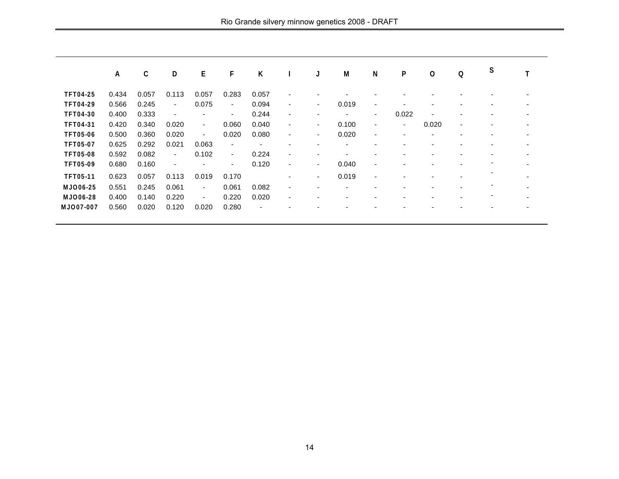|                  | A     | C     | D              | Е                        | F                        | K                        |                          | J  | M     | $\mathbf N$              | P              | O                        | Q                        | S                        |   |
|------------------|-------|-------|----------------|--------------------------|--------------------------|--------------------------|--------------------------|----|-------|--------------------------|----------------|--------------------------|--------------------------|--------------------------|---|
| <b>TFT04-25</b>  | 0.434 | 0.057 | 0.113          | 0.057                    | 0.283                    | 0.057                    | $\overline{\phantom{a}}$ |    |       |                          |                |                          |                          |                          |   |
|                  |       |       |                |                          |                          |                          |                          |    |       |                          |                |                          |                          |                          |   |
| <b>TFT04-29</b>  | 0.566 | 0.245 | $\blacksquare$ | 0.075                    | $\sim$                   | 0.094                    | $\blacksquare$           | ۰  | 0.019 | ٠                        |                |                          |                          | $\overline{\phantom{0}}$ | ۰ |
| <b>TFT04-30</b>  | 0.400 | 0.333 | ٠              | ٠                        | $\overline{\phantom{a}}$ | 0.244                    | $\overline{\phantom{a}}$ | ٠  | ٠     | $\sim$                   | 0.022          | $\overline{\phantom{0}}$ |                          |                          |   |
| <b>TFT04-31</b>  | 0.420 | 0.340 | 0.020          | $\blacksquare$           | 0.060                    | 0.040                    | $\blacksquare$           | ۰. | 0.100 | $\overline{\phantom{a}}$ | $\blacksquare$ | 0.020                    | $\overline{\phantom{a}}$ |                          | ۰ |
| <b>TFT05-06</b>  | 0.500 | 0.360 | 0.020          | $\overline{\phantom{a}}$ | 0.020                    | 0.080                    | $\overline{\phantom{0}}$ | ۰. | 0.020 |                          |                |                          |                          |                          |   |
| <b>TFT05-07</b>  | 0.625 | 0.292 | 0.021          | 0.063                    | $\overline{\phantom{a}}$ |                          |                          |    |       |                          |                |                          |                          |                          |   |
| <b>TFT05-08</b>  | 0.592 | 0.082 | $\blacksquare$ | 0.102                    | $\overline{\phantom{a}}$ | 0.224                    | $\blacksquare$           | ٠  | ٠     |                          |                |                          |                          |                          | ۰ |
| <b>TFT05-09</b>  | 0.680 | 0.160 |                |                          | $\overline{\phantom{a}}$ | 0.120                    | $\blacksquare$           | ۰. | 0.040 |                          |                |                          |                          |                          |   |
| <b>TFT05-11</b>  | 0.623 | 0.057 | 0.113          | 0.019                    | 0.170                    |                          | $\overline{\phantom{a}}$ | ۰. | 0.019 |                          |                |                          |                          |                          |   |
| <b>MJO06-25</b>  | 0.551 | 0.245 | 0.061          | $\sim$                   | 0.061                    | 0.082                    | $\blacksquare$           |    | ٠     |                          |                |                          |                          |                          | - |
| <b>MJO06-28</b>  | 0.400 | 0.140 | 0.220          | $\blacksquare$           | 0.220                    | 0.020                    | $\overline{\phantom{a}}$ |    |       |                          |                |                          |                          |                          |   |
| <b>MJO07-007</b> | 0.560 | 0.020 | 0.120          | 0.020                    | 0.280                    | $\overline{\phantom{a}}$ |                          |    |       |                          |                |                          |                          |                          |   |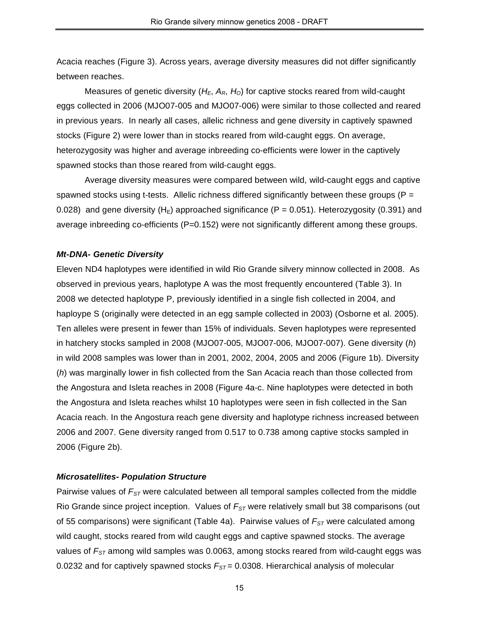Acacia reaches (Figure 3). Across years, average diversity measures did not differ significantly between reaches.

Measures of genetic diversity (*HE*, *AR*, *HO*) for captive stocks reared from wild-caught eggs collected in 2006 (MJO07-005 and MJO07-006) were similar to those collected and reared in previous years. In nearly all cases, allelic richness and gene diversity in captively spawned stocks (Figure 2) were lower than in stocks reared from wild-caught eggs. On average, heterozygosity was higher and average inbreeding co-efficients were lower in the captively spawned stocks than those reared from wild-caught eggs.

Average diversity measures were compared between wild, wild-caught eggs and captive spawned stocks using t-tests. Allelic richness differed significantly between these groups ( $P =$ 0.028) and gene diversity ( $H_F$ ) approached significance (P = 0.051). Heterozygosity (0.391) and average inbreeding co-efficients (P=0.152) were not significantly different among these groups.

## *Mt-DNA- Genetic Diversity*

Eleven ND4 haplotypes were identified in wild Rio Grande silvery minnow collected in 2008. As observed in previous years, haplotype A was the most frequently encountered (Table 3). In 2008 we detected haplotype P, previously identified in a single fish collected in 2004, and haploype S (originally were detected in an egg sample collected in 2003) (Osborne et al. 2005). Ten alleles were present in fewer than 15% of individuals. Seven haplotypes were represented in hatchery stocks sampled in 2008 (MJO07-005, MJO07-006, MJO07-007). Gene diversity (*h*) in wild 2008 samples was lower than in 2001, 2002, 2004, 2005 and 2006 (Figure 1b). Diversity (*h*) was marginally lower in fish collected from the San Acacia reach than those collected from the Angostura and Isleta reaches in 2008 (Figure 4a-c. Nine haplotypes were detected in both the Angostura and Isleta reaches whilst 10 haplotypes were seen in fish collected in the San Acacia reach. In the Angostura reach gene diversity and haplotype richness increased between 2006 and 2007. Gene diversity ranged from 0.517 to 0.738 among captive stocks sampled in 2006 (Figure 2b).

## *Microsatellites- Population Structure*

Pairwise values of *FST* were calculated between all temporal samples collected from the middle Rio Grande since project inception. Values of  $F_{ST}$  were relatively small but 38 comparisons (out of 55 comparisons) were significant (Table 4a). Pairwise values of  $F_{ST}$  were calculated among wild caught, stocks reared from wild caught eggs and captive spawned stocks. The average values of *FST* among wild samples was 0.0063, among stocks reared from wild-caught eggs was 0.0232 and for captively spawned stocks  $F_{ST}$  = 0.0308. Hierarchical analysis of molecular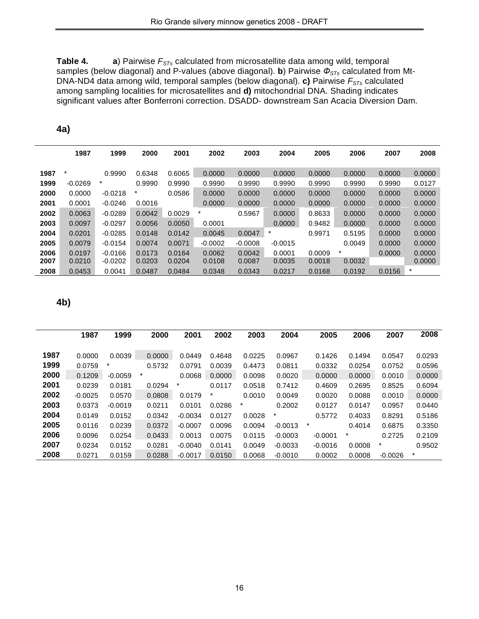**Table 4. a**) Pairwise  $F_{STs}$  calculated from microsatellite data among wild, temporal samples (below diagonal) and P-values (above diagonal). **b**) Pairwise  $\Phi_{STs}$  calculated from Mt-DNA-ND4 data among wild, temporal samples (below diagonal). **c)** Pairwise *FSTs* calculated among sampling localities for microsatellites and **d)** mitochondrial DNA. Shading indicates significant values after Bonferroni correction. DSADD- downstream San Acacia Diversion Dam.

|      | 1987      | 1999      | 2000    | 2001   | 2002      | 2003      | 2004      | 2005   | 2006    | 2007   | 2008    |
|------|-----------|-----------|---------|--------|-----------|-----------|-----------|--------|---------|--------|---------|
| 1987 | $\star$   | 0.9990    | 0.6348  | 0.6065 | 0.0000    | 0.0000    | 0.0000    | 0.0000 | 0.0000  | 0.0000 | 0.0000  |
| 1999 | $-0.0269$ | $\star$   | 0.9990  | 0.9990 | 0.9990    | 0.9990    | 0.9990    | 0.9990 | 0.9990  | 0.9990 | 0.0127  |
| 2000 | 0.0000    | $-0.0218$ | $\star$ | 0.0586 | 0.0000    | 0.0000    | 0.0000    | 0.0000 | 0.0000  | 0.0000 | 0.0000  |
| 2001 | 0.0001    | $-0.0246$ | 0.0016  |        | 0.0000    | 0.0000    | 0.0000    | 0.0000 | 0.0000  | 0.0000 | 0.0000  |
| 2002 | 0.0063    | $-0.0289$ | 0.0042  | 0.0029 | *         | 0.5967    | 0.0000    | 0.8633 | 0.0000  | 0.0000 | 0.0000  |
| 2003 | 0.0097    | $-0.0297$ | 0.0056  | 0.0050 | 0.0001    |           | 0.0000    | 0.9482 | 0.0000  | 0.0000 | 0.0000  |
| 2004 | 0.0201    | $-0.0285$ | 0.0148  | 0.0142 | 0.0045    | 0.0047    | *         | 0.9971 | 0.5195  | 0.0000 | 0.0000  |
| 2005 | 0.0079    | $-0.0154$ | 0.0074  | 0.0071 | $-0.0002$ | $-0.0008$ | $-0.0015$ |        | 0.0049  | 0.0000 | 0.0000  |
| 2006 | 0.0197    | $-0.0166$ | 0.0173  | 0.0164 | 0.0062    | 0.0042    | 0.0001    | 0.0009 | $\star$ | 0.0000 | 0.0000  |
| 2007 | 0.0210    | $-0.0202$ | 0.0203  | 0.0204 | 0.0108    | 0.0087    | 0.0035    | 0.0018 | 0.0032  |        | 0.0000  |
| 2008 | 0.0453    | 0.0041    | 0.0487  | 0.0484 | 0.0348    | 0.0343    | 0.0217    | 0.0168 | 0.0192  | 0.0156 | $\star$ |

**4a)**

**4b)**

|      | 1987      | 1999      | 2000   | 2001      | 2002   | 2003   | 2004      | 2005      | 2006    | 2007      | 2008   |
|------|-----------|-----------|--------|-----------|--------|--------|-----------|-----------|---------|-----------|--------|
|      |           |           |        |           |        |        |           |           |         |           |        |
| 1987 | 0.0000    | 0.0039    | 0.0000 | 0.0449    | 0.4648 | 0.0225 | 0.0967    | 0.1426    | 0.1494  | 0.0547    | 0.0293 |
| 1999 | 0.0759    | $\star$   | 0.5732 | 0.0791    | 0.0039 | 0.4473 | 0.0811    | 0.0332    | 0.0254  | 0.0752    | 0.0596 |
| 2000 | 0.1209    | $-0.0059$ | *      | 0.0068    | 0.0000 | 0.0098 | 0.0020    | 0.0000    | 0.0000  | 0.0010    | 0.0000 |
| 2001 | 0.0239    | 0.0181    | 0.0294 | *         | 0.0117 | 0.0518 | 0.7412    | 0.4609    | 0.2695  | 0.8525    | 0.6094 |
| 2002 | $-0.0025$ | 0.0570    | 0.0808 | 0.0179    | *      | 0.0010 | 0.0049    | 0.0020    | 0.0088  | 0.0010    | 0.0000 |
| 2003 | 0.0373    | $-0.0019$ | 0.0211 | 0.0101    | 0.0286 | $\ast$ | 0.2002    | 0.0127    | 0.0147  | 0.0957    | 0.0440 |
| 2004 | 0.0149    | 0.0152    | 0.0342 | $-0.0034$ | 0.0127 | 0.0028 | *         | 0.5772    | 0.4033  | 0.8291    | 0.5186 |
| 2005 | 0.0116    | 0.0239    | 0.0372 | $-0.0007$ | 0.0096 | 0.0094 | $-0.0013$ | *         | 0.4014  | 0.6875    | 0.3350 |
| 2006 | 0.0096    | 0.0254    | 0.0433 | 0.0013    | 0.0075 | 0.0115 | $-0.0003$ | $-0.0001$ | $\star$ | 0.2725    | 0.2109 |
| 2007 | 0.0234    | 0.0152    | 0.0281 | $-0.0040$ | 0.0141 | 0.0049 | $-0.0033$ | $-0.0016$ | 0.0008  | $\ast$    | 0.9502 |
| 2008 | 0.0271    | 0.0159    | 0.0288 | $-0.0017$ | 0.0150 | 0.0068 | $-0.0010$ | 0.0002    | 0.0008  | $-0.0026$ | $\ast$ |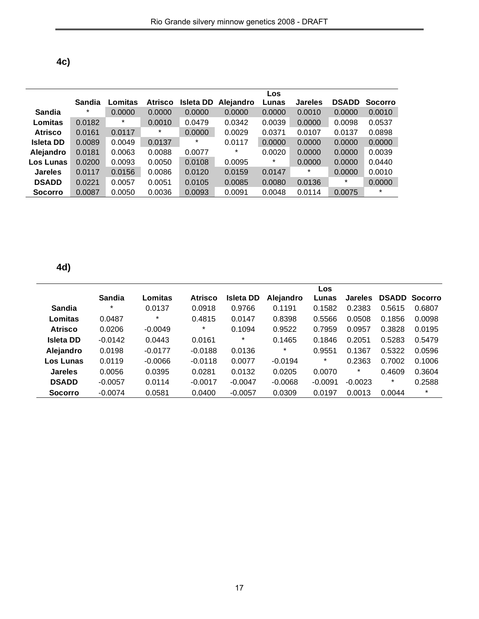| ٠<br>×<br>I<br>×<br>۰. |
|------------------------|
|------------------------|

|                  |        |         |                |           |           | <b>Los</b> |                |              |                |
|------------------|--------|---------|----------------|-----------|-----------|------------|----------------|--------------|----------------|
|                  | Sandia | Lomitas | <b>Atrisco</b> | Isleta DD | Alejandro | Lunas      | <b>Jareles</b> | <b>DSADD</b> | <b>Socorro</b> |
| Sandia           | $\ast$ | 0.0000  | 0.0000         | 0.0000    | 0.0000    | 0.0000     | 0.0010         | 0.0000       | 0.0010         |
| Lomitas          | 0.0182 | $\ast$  | 0.0010         | 0.0479    | 0.0342    | 0.0039     | 0.0000         | 0.0098       | 0.0537         |
| <b>Atrisco</b>   | 0.0161 | 0.0117  | $\ast$         | 0.0000    | 0.0029    | 0.0371     | 0.0107         | 0.0137       | 0.0898         |
| <b>Isleta DD</b> | 0.0089 | 0.0049  | 0.0137         | $^\ast$   | 0.0117    | 0.0000     | 0.0000         | 0.0000       | 0.0000         |
| Alejandro        | 0.0181 | 0.0063  | 0.0088         | 0.0077    | $^\ast$   | 0.0020     | 0.0000         | 0.0000       | 0.0039         |
| Los Lunas        | 0.0200 | 0.0093  | 0.0050         | 0.0108    | 0.0095    | *          | 0.0000         | 0.0000       | 0.0440         |
| <b>Jareles</b>   | 0.0117 | 0.0156  | 0.0086         | 0.0120    | 0.0159    | 0.0147     | *              | 0.0000       | 0.0010         |
| <b>DSADD</b>     | 0.0221 | 0.0057  | 0.0051         | 0.0105    | 0.0085    | 0.0080     | 0.0136         | $^\ast$      | 0.0000         |
| <b>Socorro</b>   | 0.0087 | 0.0050  | 0.0036         | 0.0093    | 0.0091    | 0.0048     | 0.0114         | 0.0075       | *              |

**4d)**

|                  |           |           |           |           |           | Los       |                |              |                |
|------------------|-----------|-----------|-----------|-----------|-----------|-----------|----------------|--------------|----------------|
|                  | Sandia    | Lomitas   | Atrisco   | Isleta DD | Alejandro | Lunas     | <b>Jareles</b> | <b>DSADD</b> | <b>Socorro</b> |
| Sandia           | *         | 0.0137    | 0.0918    | 0.9766    | 0.1191    | 0.1582    | 0.2383         | 0.5615       | 0.6807         |
| Lomitas          | 0.0487    | $\star$   | 0.4815    | 0.0147    | 0.8398    | 0.5566    | 0.0508         | 0.1856       | 0.0098         |
| <b>Atrisco</b>   | 0.0206    | $-0.0049$ | *         | 0.1094    | 0.9522    | 0.7959    | 0.0957         | 0.3828       | 0.0195         |
| <b>Isleta DD</b> | $-0.0142$ | 0.0443    | 0.0161    | *         | 0.1465    | 0.1846    | 0.2051         | 0.5283       | 0.5479         |
| Alejandro        | 0.0198    | $-0.0177$ | $-0.0188$ | 0.0136    | $\ast$    | 0.9551    | 0.1367         | 0.5322       | 0.0596         |
| Los Lunas        | 0.0119    | $-0.0066$ | $-0.0118$ | 0.0077    | $-0.0194$ | $^\ast$   | 0.2363         | 0.7002       | 0.1006         |
| <b>Jareles</b>   | 0.0056    | 0.0395    | 0.0281    | 0.0132    | 0.0205    | 0.0070    | $^\ast$        | 0.4609       | 0.3604         |
| <b>DSADD</b>     | $-0.0057$ | 0.0114    | $-0.0017$ | $-0.0047$ | $-0.0068$ | $-0.0091$ | $-0.0023$      | *            | 0.2588         |
| <b>Socorro</b>   | $-0.0074$ | 0.0581    | 0.0400    | $-0.0057$ | 0.0309    | 0.0197    | 0.0013         | 0.0044       | $\star$        |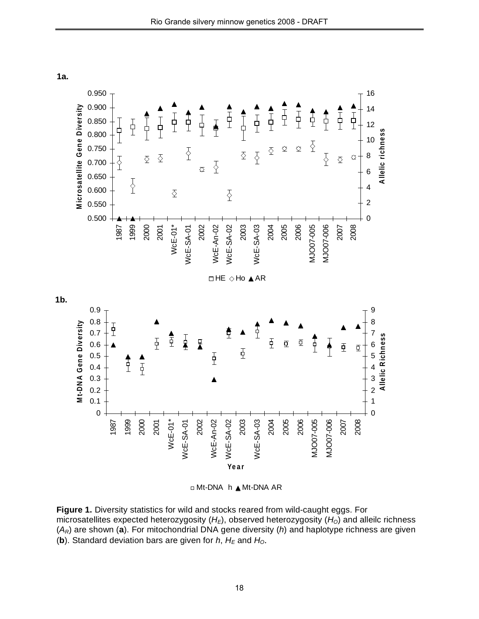**1a.**



Mt-DNA h Mt-DNA AR

**Figure 1.** Diversity statistics for wild and stocks reared from wild-caught eggs. For microsatellites expected heterozygosity (H<sub>E</sub>), observed heterozygosity (H<sub>O</sub>) and alleilc richness (*AR*) are shown (**a**). For mitochondrial DNA gene diversity (*h*) and haplotype richness are given (**b**). Standard deviation bars are given for *h*, *HE* and *HO*.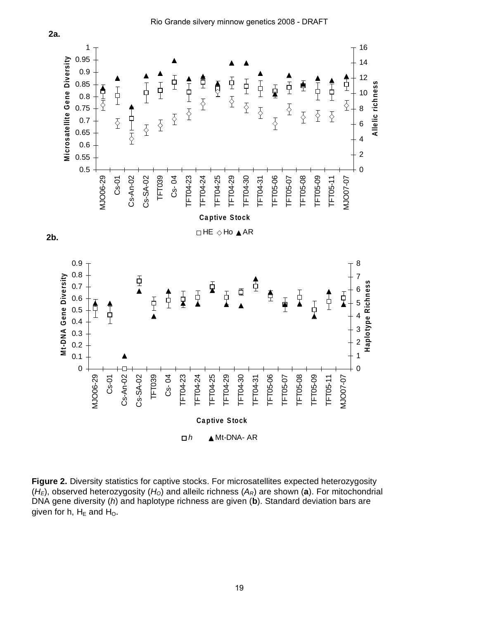

Rio Grande silvery minnow genetics 2008 - DRAFT

**Figure 2.** Diversity statistics for captive stocks. For microsatellites expected heterozygosity  $(H<sub>E</sub>)$ , observed heterozygosity  $(H<sub>O</sub>)$  and alleilc richness  $(A<sub>R</sub>)$  are shown (a). For mitochondrial DNA gene diversity (*h*) and haplotype richness are given (**b**). Standard deviation bars are given for h,  $H_E$  and  $H_O$ .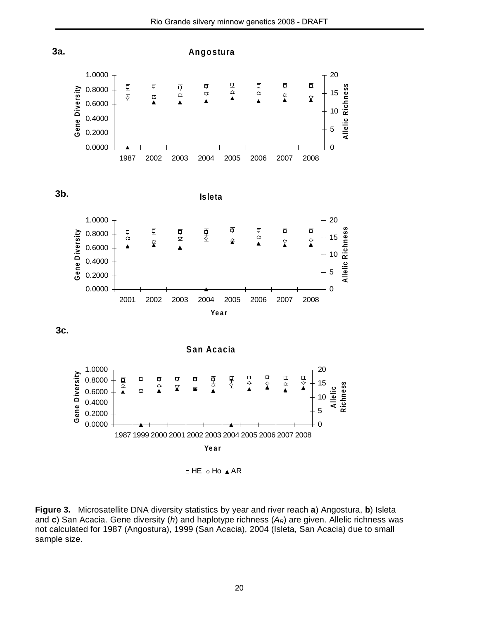

 $\Box$  HE  $\Diamond$  Ho  $\blacktriangle$  AR

**Figure 3.** Microsatellite DNA diversity statistics by year and river reach **a**) Angostura, **b**) Isleta and **c**) San Acacia. Gene diversity (*h*) and haplotype richness (*AR*) are given. Allelic richness was not calculated for 1987 (Angostura), 1999 (San Acacia), 2004 (Isleta, San Acacia) due to small sample size.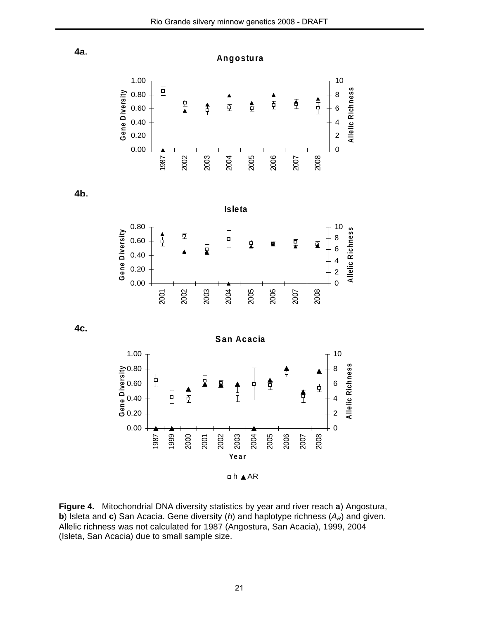**Allelic**

**Allelic**

**Allelic**

**Ric h n e s s**

**Ric h n e s s**

**Ric h n e s s**

 $n \wedge n$ 

**Figure 4.** Mitochondrial DNA diversity statistics by year and river reach **a**) Angostura, **b**) Isleta and **c**) San Acacia. Gene diversity (*h*) and haplotype richness (*AR*) and given. Allelic richness was not calculated for 1987 (Angostura, San Acacia), 1999, 2004 (Isleta, San Acacia) due to small sample size.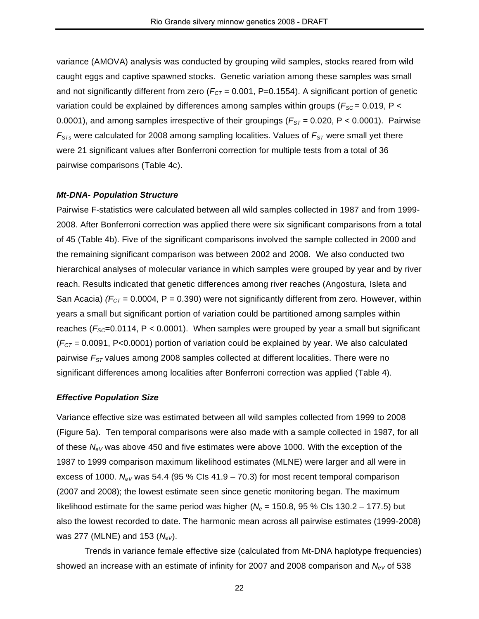variance (AMOVA) analysis was conducted by grouping wild samples, stocks reared from wild caught eggs and captive spawned stocks. Genetic variation among these samples was small and not significantly different from zero ( $F_{CT}$  = 0.001, P=0.1554). A significant portion of genetic variation could be explained by differences among samples within groups ( $F_{SC}$  = 0.019, P < 0.0001), and among samples irrespective of their groupings ( $F_{ST}$  = 0.020, P < 0.0001). Pairwise  $F_{STs}$  were calculated for 2008 among sampling localities. Values of  $F_{ST}$  were small yet there were 21 significant values after Bonferroni correction for multiple tests from a total of 36 pairwise comparisons (Table 4c).

### *Mt-DNA- Population Structure*

Pairwise F-statistics were calculated between all wild samples collected in 1987 and from 1999- 2008. After Bonferroni correction was applied there were six significant comparisons from a total of 45 (Table 4b). Five of the significant comparisons involved the sample collected in 2000 and the remaining significant comparison was between 2002 and 2008. We also conducted two hierarchical analyses of molecular variance in which samples were grouped by year and by river reach. Results indicated that genetic differences among river reaches (Angostura, Isleta and San Acacia)  $(F_{CT} = 0.0004, P = 0.390)$  were not significantly different from zero. However, within years a small but significant portion of variation could be partitioned among samples within reaches  $(F_{SC}=0.0114, P < 0.0001)$ . When samples were grouped by year a small but significant  $(F<sub>CT</sub> = 0.0091, P<0.0001)$  portion of variation could be explained by year. We also calculated pairwise  $F_{ST}$  values among 2008 samples collected at different localities. There were no significant differences among localities after Bonferroni correction was applied (Table 4).

#### *Effective Population Size*

Variance effective size was estimated between all wild samples collected from 1999 to 2008 (Figure 5a). Ten temporal comparisons were also made with a sample collected in 1987, for all of these *NeV* was above 450 and five estimates were above 1000. With the exception of the 1987 to 1999 comparison maximum likelihood estimates (MLNE) were larger and all were in excess of 1000.  $N_{eV}$  was 54.4 (95 % Cls 41.9 – 70.3) for most recent temporal comparison (2007 and 2008); the lowest estimate seen since genetic monitoring began. The maximum likelihood estimate for the same period was higher ( $N_e$  = 150.8, 95 % CIs 130.2 – 177.5) but also the lowest recorded to date. The harmonic mean across all pairwise estimates (1999-2008) was 277 (MLNE) and 153 (*NeV*).

Trends in variance female effective size (calculated from Mt-DNA haplotype frequencies) showed an increase with an estimate of infinity for 2007 and 2008 comparison and N<sub>eV</sub> of 538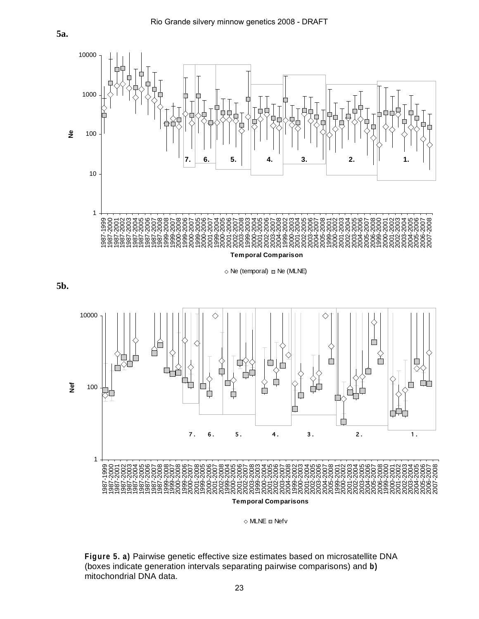**5a.**



 $\Diamond$  Ne (temporal)  $\Box$  Ne (MLNE)





 $\Diamond$  MLNE  $\Box$  Nefv

**Figure 5. a)** Pairwise genetic effective size estimates based on microsatellite DNA (boxes indicate generation intervals separating pairwise comparisons) and **b)**  mitochondrial DNA data.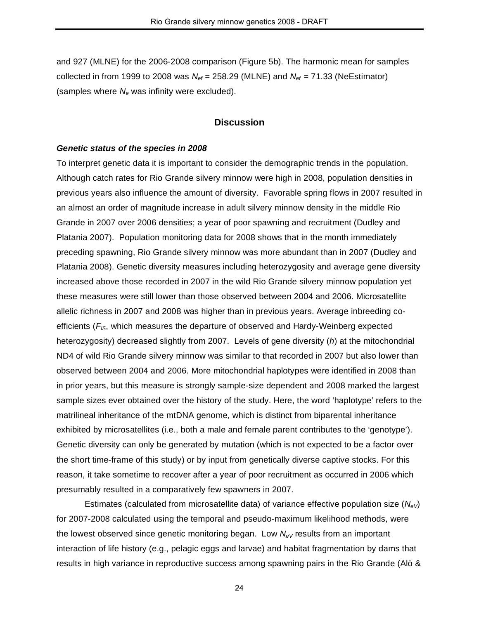and 927 (MLNE) for the 2006-2008 comparison (Figure 5b). The harmonic mean for samples collected in from 1999 to 2008 was  $N_{ef}$  = 258.29 (MLNE) and  $N_{ef}$  = 71.33 (NeEstimator) (samples where N<sub>e</sub> was infinity were excluded).

## **Discussion**

### *Genetic status of the species in 2008*

To interpret genetic data it is important to consider the demographic trends in the population. Although catch rates for Rio Grande silvery minnow were high in 2008, population densities in previous years also influence the amount of diversity. Favorable spring flows in 2007 resulted in an almost an order of magnitude increase in adult silvery minnow density in the middle Rio Grande in 2007 over 2006 densities; a year of poor spawning and recruitment (Dudley and Platania 2007). Population monitoring data for 2008 shows that in the month immediately preceding spawning, Rio Grande silvery minnow was more abundant than in 2007 (Dudley and Platania 2008). Genetic diversity measures including heterozygosity and average gene diversity increased above those recorded in 2007 in the wild Rio Grande silvery minnow population yet these measures were still lower than those observed between 2004 and 2006. Microsatellite allelic richness in 2007 and 2008 was higher than in previous years. Average inbreeding coefficients (*FIS*, which measures the departure of observed and Hardy-Weinberg expected heterozygosity) decreased slightly from 2007. Levels of gene diversity (*h*) at the mitochondrial ND4 of wild Rio Grande silvery minnow was similar to that recorded in 2007 but also lower than observed between 2004 and 2006. More mitochondrial haplotypes were identified in 2008 than in prior years, but this measure is strongly sample-size dependent and 2008 marked the largest sample sizes ever obtained over the history of the study. Here, the word 'haplotype' refers to the matrilineal inheritance of the mtDNA genome, which is distinct from biparental inheritance exhibited by microsatellites (i.e., both a male and female parent contributes to the 'genotype'). Genetic diversity can only be generated by mutation (which is not expected to be a factor over the short time-frame of this study) or by input from genetically diverse captive stocks. For this reason, it take sometime to recover after a year of poor recruitment as occurred in 2006 which presumably resulted in a comparatively few spawners in 2007.

Estimates (calculated from microsatellite data) of variance effective population size (*NeV*) for 2007-2008 calculated using the temporal and pseudo-maximum likelihood methods, were the lowest observed since genetic monitoring began. Low  $N_{eV}$  results from an important interaction of life history (e.g., pelagic eggs and larvae) and habitat fragmentation by dams that results in high variance in reproductive success among spawning pairs in the Rio Grande (Alò &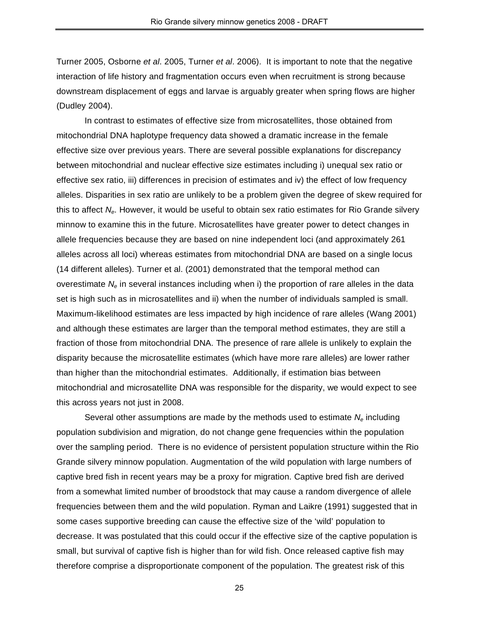Turner 2005, Osborne *et al*. 2005, Turner *et al*. 2006). It is important to note that the negative interaction of life history and fragmentation occurs even when recruitment is strong because downstream displacement of eggs and larvae is arguably greater when spring flows are higher (Dudley 2004).

In contrast to estimates of effective size from microsatellites, those obtained from mitochondrial DNA haplotype frequency data showed a dramatic increase in the female effective size over previous years. There are several possible explanations for discrepancy between mitochondrial and nuclear effective size estimates including i) unequal sex ratio or effective sex ratio, iii) differences in precision of estimates and iv) the effect of low frequency alleles. Disparities in sex ratio are unlikely to be a problem given the degree of skew required for this to affect *Ne*. However, it would be useful to obtain sex ratio estimates for Rio Grande silvery minnow to examine this in the future. Microsatellites have greater power to detect changes in allele frequencies because they are based on nine independent loci (and approximately 261 alleles across all loci) whereas estimates from mitochondrial DNA are based on a single locus (14 different alleles). Turner et al. (2001) demonstrated that the temporal method can overestimate *Ne* in several instances including when i) the proportion of rare alleles in the data set is high such as in microsatellites and ii) when the number of individuals sampled is small. Maximum-likelihood estimates are less impacted by high incidence of rare alleles (Wang 2001) and although these estimates are larger than the temporal method estimates, they are still a fraction of those from mitochondrial DNA. The presence of rare allele is unlikely to explain the disparity because the microsatellite estimates (which have more rare alleles) are lower rather than higher than the mitochondrial estimates. Additionally, if estimation bias between mitochondrial and microsatellite DNA was responsible for the disparity, we would expect to see this across years not just in 2008.

Several other assumptions are made by the methods used to estimate *Ne* including population subdivision and migration, do not change gene frequencies within the population over the sampling period. There is no evidence of persistent population structure within the Rio Grande silvery minnow population. Augmentation of the wild population with large numbers of captive bred fish in recent years may be a proxy for migration. Captive bred fish are derived from a somewhat limited number of broodstock that may cause a random divergence of allele frequencies between them and the wild population. Ryman and Laikre (1991) suggested that in some cases supportive breeding can cause the effective size of the 'wild' population to decrease. It was postulated that this could occur if the effective size of the captive population is small, but survival of captive fish is higher than for wild fish. Once released captive fish may therefore comprise a disproportionate component of the population. The greatest risk of this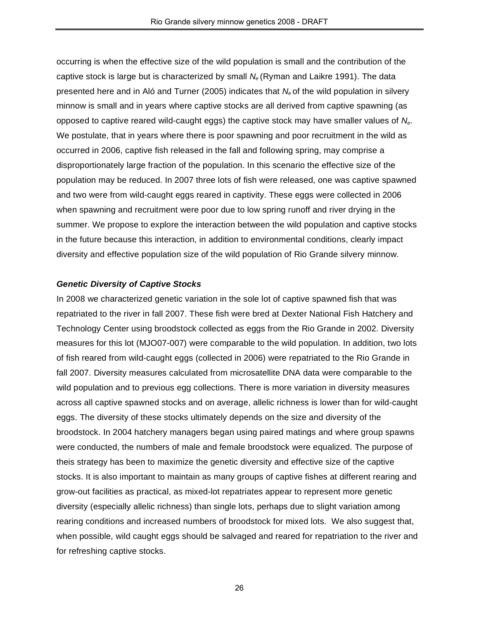occurring is when the effective size of the wild population is small and the contribution of the captive stock is large but is characterized by small *Ne* (Ryman and Laikre 1991). The data presented here and in Aló and Turner (2005) indicates that *Ne* of the wild population in silvery minnow is small and in years where captive stocks are all derived from captive spawning (as opposed to captive reared wild-caught eggs) the captive stock may have smaller values of *Ne*. We postulate, that in years where there is poor spawning and poor recruitment in the wild as occurred in 2006, captive fish released in the fall and following spring, may comprise a disproportionately large fraction of the population. In this scenario the effective size of the population may be reduced. In 2007 three lots of fish were released, one was captive spawned and two were from wild-caught eggs reared in captivity. These eggs were collected in 2006 when spawning and recruitment were poor due to low spring runoff and river drying in the summer. We propose to explore the interaction between the wild population and captive stocks in the future because this interaction, in addition to environmental conditions, clearly impact diversity and effective population size of the wild population of Rio Grande silvery minnow.

## *Genetic Diversity of Captive Stocks*

In 2008 we characterized genetic variation in the sole lot of captive spawned fish that was repatriated to the river in fall 2007. These fish were bred at Dexter National Fish Hatchery and Technology Center using broodstock collected as eggs from the Rio Grande in 2002. Diversity measures for this lot (MJO07-007) were comparable to the wild population. In addition, two lots of fish reared from wild-caught eggs (collected in 2006) were repatriated to the Rio Grande in fall 2007. Diversity measures calculated from microsatellite DNA data were comparable to the wild population and to previous egg collections. There is more variation in diversity measures across all captive spawned stocks and on average, allelic richness is lower than for wild-caught eggs. The diversity of these stocks ultimately depends on the size and diversity of the broodstock. In 2004 hatchery managers began using paired matings and where group spawns were conducted, the numbers of male and female broodstock were equalized. The purpose of theis strategy has been to maximize the genetic diversity and effective size of the captive stocks. It is also important to maintain as many groups of captive fishes at different rearing and grow-out facilities as practical, as mixed-lot repatriates appear to represent more genetic diversity (especially allelic richness) than single lots, perhaps due to slight variation among rearing conditions and increased numbers of broodstock for mixed lots. We also suggest that, when possible, wild caught eggs should be salvaged and reared for repatriation to the river and for refreshing captive stocks.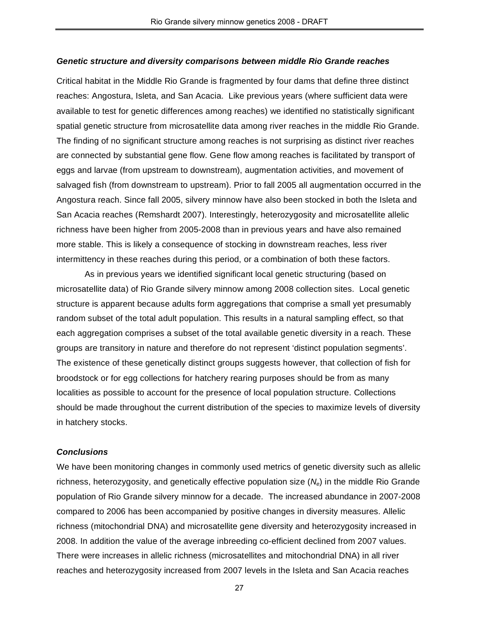#### *Genetic structure and diversity comparisons between middle Rio Grande reaches*

Critical habitat in the Middle Rio Grande is fragmented by four dams that define three distinct reaches: Angostura, Isleta, and San Acacia. Like previous years (where sufficient data were available to test for genetic differences among reaches) we identified no statistically significant spatial genetic structure from microsatellite data among river reaches in the middle Rio Grande. The finding of no significant structure among reaches is not surprising as distinct river reaches are connected by substantial gene flow. Gene flow among reaches is facilitated by transport of eggs and larvae (from upstream to downstream), augmentation activities, and movement of salvaged fish (from downstream to upstream). Prior to fall 2005 all augmentation occurred in the Angostura reach. Since fall 2005, silvery minnow have also been stocked in both the Isleta and San Acacia reaches (Remshardt 2007). Interestingly, heterozygosity and microsatellite allelic richness have been higher from 2005-2008 than in previous years and have also remained more stable. This is likely a consequence of stocking in downstream reaches, less river intermittency in these reaches during this period, or a combination of both these factors.

As in previous years we identified significant local genetic structuring (based on microsatellite data) of Rio Grande silvery minnow among 2008 collection sites. Local genetic structure is apparent because adults form aggregations that comprise a small yet presumably random subset of the total adult population. This results in a natural sampling effect, so that each aggregation comprises a subset of the total available genetic diversity in a reach. These groups are transitory in nature and therefore do not represent 'distinct population segments'. The existence of these genetically distinct groups suggests however, that collection of fish for broodstock or for egg collections for hatchery rearing purposes should be from as many localities as possible to account for the presence of local population structure. Collections should be made throughout the current distribution of the species to maximize levels of diversity in hatchery stocks.

### *Conclusions*

We have been monitoring changes in commonly used metrics of genetic diversity such as allelic richness, heterozygosity, and genetically effective population size (*Ne*) in the middle Rio Grande population of Rio Grande silvery minnow for a decade. The increased abundance in 2007-2008 compared to 2006 has been accompanied by positive changes in diversity measures. Allelic richness (mitochondrial DNA) and microsatellite gene diversity and heterozygosity increased in 2008. In addition the value of the average inbreeding co-efficient declined from 2007 values. There were increases in allelic richness (microsatellites and mitochondrial DNA) in all river reaches and heterozygosity increased from 2007 levels in the Isleta and San Acacia reaches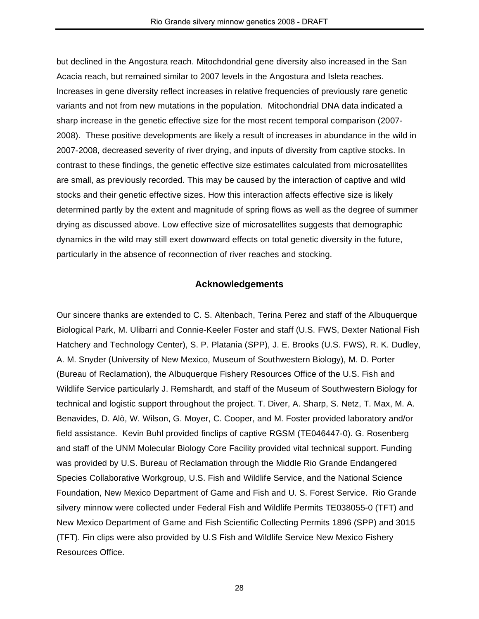but declined in the Angostura reach. Mitochdondrial gene diversity also increased in the San Acacia reach, but remained similar to 2007 levels in the Angostura and Isleta reaches. Increases in gene diversity reflect increases in relative frequencies of previously rare genetic variants and not from new mutations in the population. Mitochondrial DNA data indicated a sharp increase in the genetic effective size for the most recent temporal comparison (2007- 2008). These positive developments are likely a result of increases in abundance in the wild in 2007-2008, decreased severity of river drying, and inputs of diversity from captive stocks. In contrast to these findings, the genetic effective size estimates calculated from microsatellites are small, as previously recorded. This may be caused by the interaction of captive and wild stocks and their genetic effective sizes. How this interaction affects effective size is likely determined partly by the extent and magnitude of spring flows as well as the degree of summer drying as discussed above. Low effective size of microsatellites suggests that demographic dynamics in the wild may still exert downward effects on total genetic diversity in the future, particularly in the absence of reconnection of river reaches and stocking.

## **Acknowledgements**

Our sincere thanks are extended to C. S. Altenbach, Terina Perez and staff of the Albuquerque Biological Park, M. Ulibarri and Connie-Keeler Foster and staff (U.S. FWS, Dexter National Fish Hatchery and Technology Center), S. P. Platania (SPP), J. E. Brooks (U.S. FWS), R. K. Dudley, A. M. Snyder (University of New Mexico, Museum of Southwestern Biology), M. D. Porter (Bureau of Reclamation), the Albuquerque Fishery Resources Office of the U.S. Fish and Wildlife Service particularly J. Remshardt, and staff of the Museum of Southwestern Biology for technical and logistic support throughout the project. T. Diver, A. Sharp, S. Netz, T. Max, M. A. Benavides, D. Alò, W. Wilson, G. Moyer, C. Cooper, and M. Foster provided laboratory and/or field assistance. Kevin Buhl provided finclips of captive RGSM (TE046447-0). G. Rosenberg and staff of the UNM Molecular Biology Core Facility provided vital technical support. Funding was provided by U.S. Bureau of Reclamation through the Middle Rio Grande Endangered Species Collaborative Workgroup, U.S. Fish and Wildlife Service, and the National Science Foundation, New Mexico Department of Game and Fish and U. S. Forest Service. Rio Grande silvery minnow were collected under Federal Fish and Wildlife Permits TE038055-0 (TFT) and New Mexico Department of Game and Fish Scientific Collecting Permits 1896 (SPP) and 3015 (TFT). Fin clips were also provided by U.S Fish and Wildlife Service New Mexico Fishery Resources Office.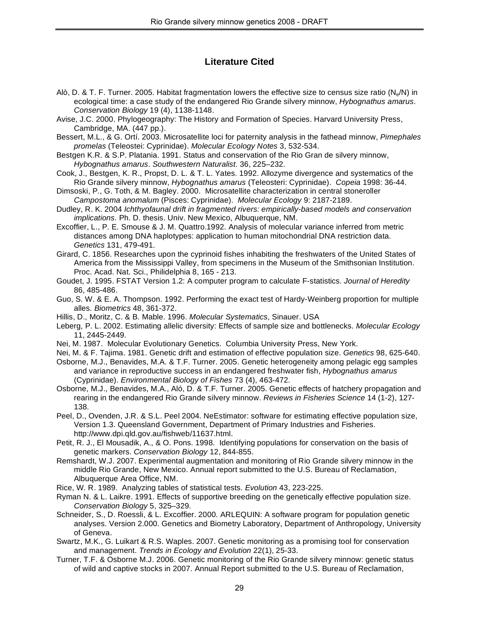# **Literature Cited**

- Alò, D. & T. F. Turner. 2005. Habitat fragmentation lowers the effective size to census size ratio ( $N_e/N$ ) in ecological time: a case study of the endangered Rio Grande silvery minnow, *Hybognathus amarus*. *Conservation Biology* 19 (4), 1138-1148.
- Avise, J.C. 2000. Phylogeography: The History and Formation of Species. Harvard University Press, Cambridge, MA. (447 pp.).
- Bessert, M.L., & G. Ortí. 2003. Microsatellite loci for paternity analysis in the fathead minnow, *Pimephales promelas* (Teleostei: Cyprinidae). *Molecular Ecology Notes* 3, 532-534.
- Bestgen K.R. & S.P. Platania. 1991. Status and conservation of the Rio Gran de silvery minnow, *Hybognathus amarus*. *Southwestern Naturalist*. 36, 225–232.
- Cook, J., Bestgen, K. R., Propst, D. L. & T. L. Yates. 1992. Allozyme divergence and systematics of the Rio Grande silvery minnow, *Hybognathus amarus* (Teleosteri: Cyprinidae). *Copeia* 1998: 36-44.
- Dimsoski, P., G. Toth, & M. Bagley. 2000. Microsatellite characterization in central stoneroller *Campostoma anomalum* (Pisces: Cyprinidae). *Molecular Ecology* 9: 2187-2189.
- Dudley, R. K. 2004 *Ichthyofaunal drift in fragmented rivers: empirically-based models and conservation implications*. Ph. D. thesis. Univ. New Mexico, Albuquerque, NM.
- Excoffier, L., P. E. Smouse & J. M. Quattro.1992. Analysis of molecular variance inferred from metric distances among DNA haplotypes: application to human mitochondrial DNA restriction data. *Genetics* 131, 479-491.
- Girard, C. 1856. Researches upon the cyprinoid fishes inhabiting the freshwaters of the United States of America from the Mississippi Valley, from specimens in the Museum of the Smithsonian Institution. Proc. Acad. Nat. Sci., Philidelphia 8, 165 - 213.
- Goudet, J. 1995. FSTAT Version 1.2: A computer program to calculate F-statistics. *Journal of Heredity* 86, 485-486.
- Guo, S. W. & E. A. Thompson. 1992. Performing the exact test of Hardy-Weinberg proportion for multiple alles. *Biometrics* 48, 361-372.
- Hillis, D., Moritz, C. & B. Mable. 1996. *Molecular Systematics*, Sinauer. USA
- Leberg, P. L. 2002. Estimating allelic diversity: Effects of sample size and bottlenecks. *Molecular Ecology* 11, 2445-2449.
- Nei, M. 1987. Molecular Evolutionary Genetics. Columbia University Press, New York.
- Nei, M. & F. Tajima. 1981. Genetic drift and estimation of effective population size. *Genetics* 98, 625-640.
- Osborne, M.J., Benavides, M.A. & T.F. Turner. 2005. Genetic heterogeneity among pelagic egg samples and variance in reproductive success in an endangered freshwater fish, *Hybognathus amarus* (Cyprinidae). *Environmental Biology of Fishes* 73 (4), 463-472.
- Osborne, M.J., Benavides, M.A., Aló, D. & T.F. Turner. 2005. Genetic effects of hatchery propagation and rearing in the endangered Rio Grande silvery minnow. *Reviews in Fisheries Science* 14 (1-2), 127- 138.
- Peel, D., Ovenden, J.R. & S.L. Peel 2004. NeEstimator: software for estimating effective population size, Version 1.3. Queensland Government, Department of Primary Industries and Fisheries. http://www.dpi.qld.gov.au/fishweb/11637.html.
- Petit, R. J., El Mousadik, A., & O. Pons. 1998. Identifying populations for conservation on the basis of genetic markers. *Conservation Biology* 12, 844-855.
- Remshardt, W.J. 2007. Experimental augmentation and monitoring of Rio Grande silvery minnow in the middle Rio Grande, New Mexico. Annual report submitted to the U.S. Bureau of Reclamation, Albuquerque Area Office, NM.
- Rice, W. R. 1989. Analyzing tables of statistical tests. *Evolution* 43, 223-225.
- Ryman N. & L. Laikre. 1991. Effects of supportive breeding on the genetically effective population size. *Conservation Biology* 5, 325–329.
- Schneider, S., D. Roessli, & L. Excoffier. 2000. ARLEQUIN: A software program for population genetic analyses. Version 2.000. Genetics and Biometry Laboratory, Department of Anthropology, University of Geneva.
- Swartz, M.K., G. Luikart & R.S. Waples. 2007. Genetic monitoring as a promising tool for conservation and management. *Trends in Ecology and Evolution* 22(1), 25-33.
- Turner, T.F. & Osborne M.J. 2006. Genetic monitoring of the Rio Grande silvery minnow: genetic status of wild and captive stocks in 2007. Annual Report submitted to the U.S. Bureau of Reclamation,